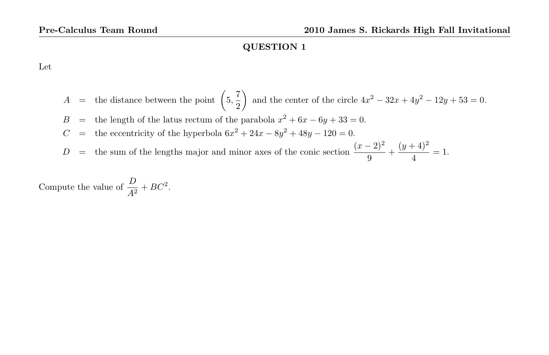Let

 $A =$  the distance between the point  $\left(5, \frac{7}{2}\right)$ 2 and the center of the circle  $4x^2 - 32x + 4y^2 - 12y + 53 = 0$ . B = the length of the latus rectum of the parabola  $x^2 + 6x - 6y + 33 = 0$ .  $C =$  the eccentricity of the hyperbola  $6x^2 + 24x - 8y^2 + 48y - 120 = 0$ . D = the sum of the lengths major and minor axes of the conic section  $\frac{(x-2)^2}{9} + \frac{(y+4)^2}{4}$  $\frac{1}{4}$  = 1.

Compute the value of  $\frac{D}{A^2} + BC^2$ .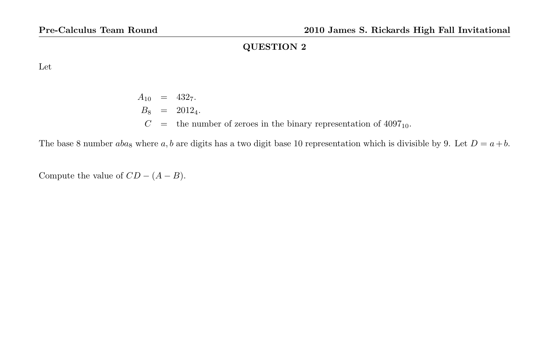Let

 $A_{10}$  = 432<sub>7</sub>.  $B_8 = 2012_4.$  $C =$  the number of zeroes in the binary representation of 4097<sub>10</sub>.

The base 8 number  $aba_8$  where  $a, b$  are digits has a two digit base 10 representation which is divisible by 9. Let  $D = a + b$ .

Compute the value of  $CD - (A - B)$ .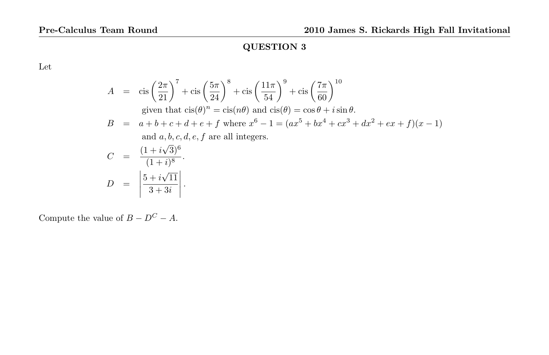Let

$$
A = \operatorname{cis}\left(\frac{2\pi}{21}\right)^7 + \operatorname{cis}\left(\frac{5\pi}{24}\right)^8 + \operatorname{cis}\left(\frac{11\pi}{54}\right)^9 + \operatorname{cis}\left(\frac{7\pi}{60}\right)^{10}
$$
  
\ngiven that  $\operatorname{cis}(\theta)^n = \operatorname{cis}(n\theta)$  and  $\operatorname{cis}(\theta) = \cos\theta + i\sin\theta$ .  
\n
$$
B = a + b + c + d + e + f \text{ where } x^6 - 1 = (ax^5 + bx^4 + cx^3 + dx^2 + ex + f)(x - 1)
$$
  
\nand a, b, c, d, e, f are all integers.  
\n
$$
C = \frac{(1 + i\sqrt{3})^6}{(1 + i)^8}.
$$
  
\n
$$
D = \left|\frac{5 + i\sqrt{11}}{3 + 3i}\right|.
$$

Compute the value of  $B - D^C - A$ .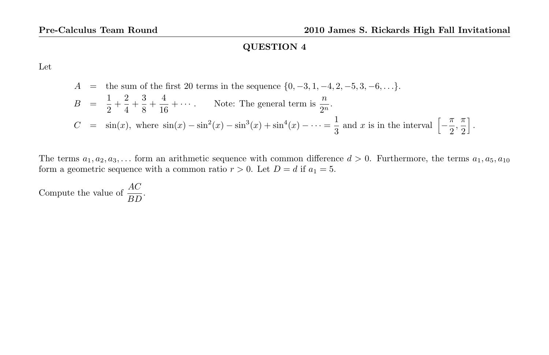Let

$$
A = \text{the sum of the first 20 terms in the sequence } \{0, -3, 1, -4, 2, -5, 3, -6, \ldots\}.
$$
\n
$$
B = \frac{1}{2} + \frac{2}{4} + \frac{3}{8} + \frac{4}{16} + \cdots.
$$
\nNote: The general term is  $\frac{n}{2^n}$ .

\n
$$
C = \sin(x), \text{ where } \sin(x) - \sin^2(x) - \sin^3(x) + \sin^4(x) - \cdots = \frac{1}{3} \text{ and } x \text{ is in the interval } \left[ -\frac{\pi}{2}, \frac{\pi}{2} \right].
$$

The terms  $a_1, a_2, a_3, \ldots$  form an arithmetic sequence with common difference  $d > 0$ . Furthermore, the terms  $a_1, a_5, a_{10}$ form a geometric sequence with a common ratio  $r > 0$ . Let  $D = d$  if  $a_1 = 5$ .

Compute the value of  $\frac{AC}{BD}$ .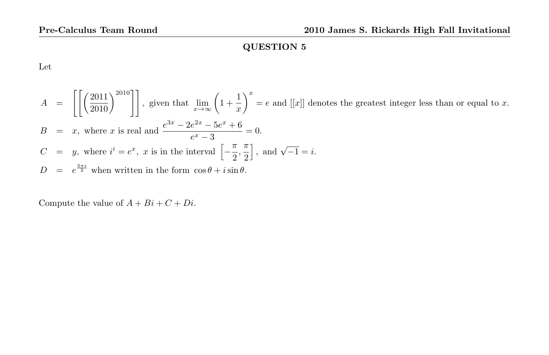Let

$$
A = \left[ \left[ \left( \frac{2011}{2010} \right)^{2010} \right] \right], \text{ given that } \lim_{x \to \infty} \left( 1 + \frac{1}{x} \right)^x = e \text{ and } [[x]] \text{ denotes the greatest integer less than or equal to } x.
$$
  
\n
$$
B = x, \text{ where } x \text{ is real and } \frac{e^{3x} - 2e^{2x} - 5e^x + 6}{e^x - 3} = 0.
$$
  
\n
$$
C = y, \text{ where } i^i = e^x, x \text{ is in the interval } \left[ -\frac{\pi}{2}, \frac{\pi}{2} \right], \text{ and } \sqrt{-1} = i.
$$
  
\n
$$
D = e^{\frac{5\pi i}{2}} \text{ when written in the form } \cos \theta + i \sin \theta.
$$

Compute the value of  $A + Bi + C + Di$ .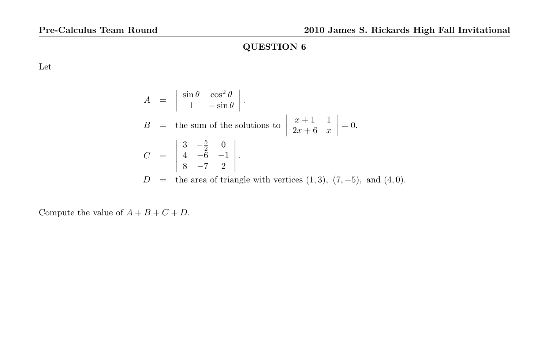Let

$$
A = \begin{vmatrix} \sin \theta & \cos^2 \theta \\ 1 & -\sin \theta \end{vmatrix}.
$$
  
\n
$$
B = \text{the sum of the solutions to } \begin{vmatrix} x+1 & 1 \\ 2x+6 & x \end{vmatrix} = 0.
$$
  
\n
$$
C = \begin{vmatrix} 3 & -\frac{5}{2} & 0 \\ 4 & -6 & -1 \\ 8 & -7 & 2 \end{vmatrix}.
$$
  
\n
$$
D = \text{the area of triangle with vertices } (1,3), (7, -5), \text{ and } (4,0).
$$

Compute the value of  $A + B + C + D$ .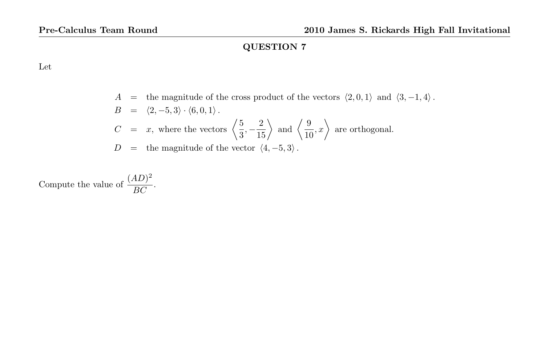Let

A = the magnitude of the cross product of the vectors  $\langle 2, 0, 1 \rangle$  and  $\langle 3, -1, 4 \rangle$ .  $B = \langle 2, -5, 3 \rangle \cdot \langle 6, 0, 1 \rangle$ .  $C = x$ , where the vectors  $\begin{pmatrix} 5 \\ 2 \end{pmatrix}$  $\left\langle \frac{5}{3}, -\frac{2}{15} \right\rangle$  and  $\left\langle \frac{9}{10} \right\rangle$  $\left(\frac{9}{10}, x\right)$  are orthogonal.  $D =$  the magnitude of the vector  $\langle 4, -5, 3 \rangle$ .

Compute the value of  $\frac{(AD)^2}{BC}$  $\frac{1}{BC}$ .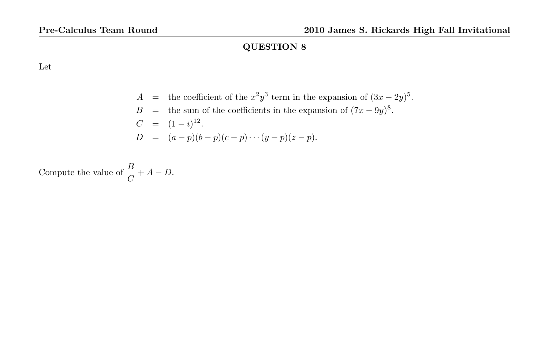Let

$$
A =
$$
 the coefficient of the  $x^2y^3$  term in the expansion of  $(3x - 2y)^5$ .  
\n
$$
B =
$$
 the sum of the coefficients in the expansion of  $(7x - 9y)^8$ .  
\n
$$
C = (1 - i)^{12}
$$
.  
\n
$$
D = (a - p)(b - p)(c - p) \cdots (y - p)(z - p).
$$

Compute the value of  $\frac{B}{C} + A - D$ .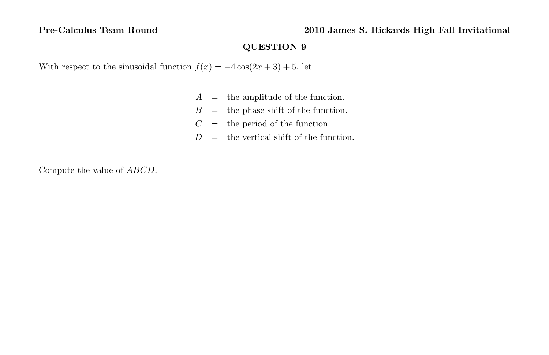With respect to the sinusoidal function  $f(x) = -4\cos(2x+3) + 5$ , let

- $A =$  the amplitude of the function.
- $B =$  the phase shift of the function.
- $C =$  the period of the function.
- $D =$  the vertical shift of the function.

Compute the value of ABCD.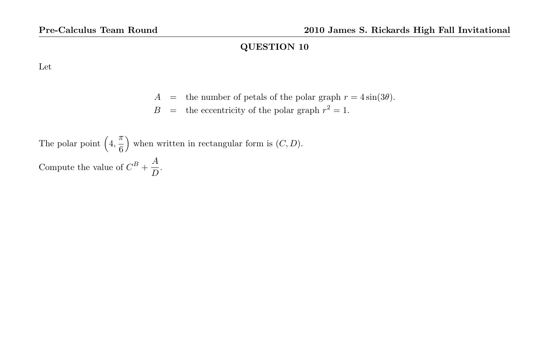Let

- A = the number of petals of the polar graph  $r = 4 \sin(3\theta)$ .
- $B =$  the eccentricity of the polar graph  $r^2 = 1$ .

The polar point  $\left(4, \frac{\pi}{6}\right)$ 6 ) when written in rectangular form is  $(C, D)$ . Compute the value of  $C^B + \frac{A}{D}$  $\frac{1}{D}$ .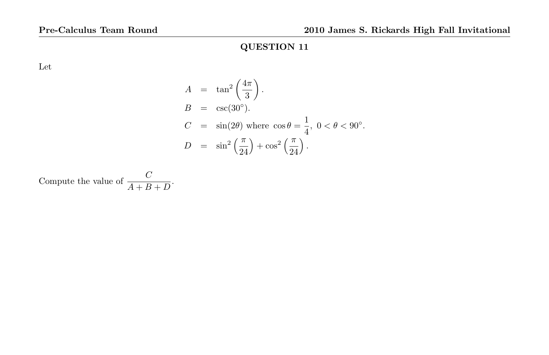Let

$$
A = \tan^2\left(\frac{4\pi}{3}\right).
$$
  
\n
$$
B = \csc(30^\circ).
$$
  
\n
$$
C = \sin(2\theta) \text{ where } \cos \theta = \frac{1}{4}, \ 0 < \theta < 90^\circ.
$$
  
\n
$$
D = \sin^2\left(\frac{\pi}{24}\right) + \cos^2\left(\frac{\pi}{24}\right).
$$

Compute the value of  $\frac{C}{A+B+D}$ .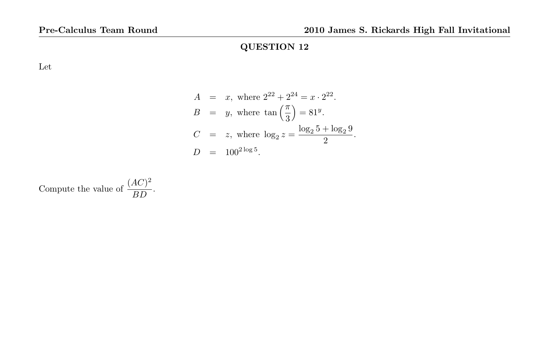Let

$$
A = x, \text{ where } 2^{22} + 2^{24} = x \cdot 2^{22}.
$$
  
\n
$$
B = y, \text{ where } \tan\left(\frac{\pi}{3}\right) = 81^y.
$$
  
\n
$$
C = z, \text{ where } \log_2 z = \frac{\log_2 5 + \log_2 9}{2}.
$$
  
\n
$$
D = 100^{2 \log 5}.
$$

Compute the value of 
$$
\frac{(AC)^2}{BD}
$$
.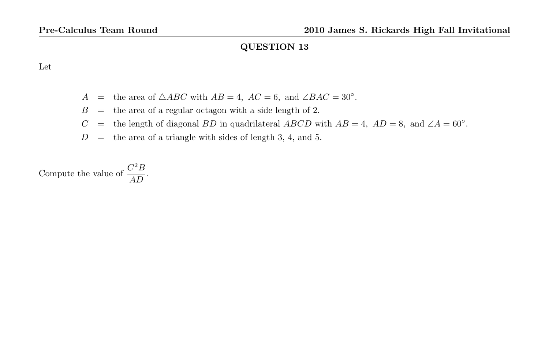Let

- A = the area of  $\triangle ABC$  with  $AB = 4$ ,  $AC = 6$ , and  $\angle BAC = 30^\circ$ .
- $B =$  the area of a regular octagon with a side length of 2.
- C = the length of diagonal BD in quadrilateral ABCD with  $AB = 4$ ,  $AD = 8$ , and  $\angle A = 60^\circ$ .
- $D =$  the area of a triangle with sides of length 3, 4, and 5.

Compute the value of  $\frac{C^2B}{4D}$  $rac{D}{AD}$ .